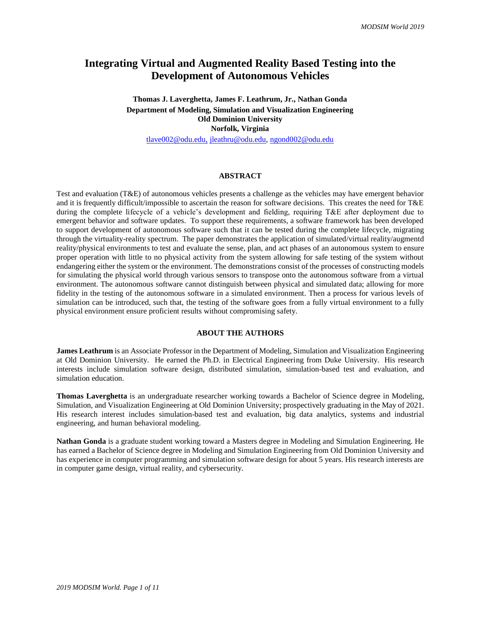# **Integrating Virtual and Augmented Reality Based Testing into the Development of Autonomous Vehicles**

**Thomas J. Laverghetta, James F. Leathrum, Jr., Nathan Gonda Department of Modeling, Simulation and Visualization Engineering Old Dominion University Norfolk, Virginia** [tlave002@odu.edu,](mailto:tlave002@odu.edu) [jleathru@odu.edu,](mailto:jleathru@odu.edu) [ngond002@odu.edu](mailto:ngond002@odu.edu)

#### **ABSTRACT**

Test and evaluation (T&E) of autonomous vehicles presents a challenge as the vehicles may have emergent behavior and it is frequently difficult/impossible to ascertain the reason for software decisions. This creates the need for T&E during the complete lifecycle of a vehicle's development and fielding, requiring T&E after deployment due to emergent behavior and software updates. To support these requirements, a software framework has been developed to support development of autonomous software such that it can be tested during the complete lifecycle, migrating through the virtuality-reality spectrum. The paper demonstrates the application of simulated/virtual reality/augmentd reality/physical environments to test and evaluate the sense, plan, and act phases of an autonomous system to ensure proper operation with little to no physical activity from the system allowing for safe testing of the system without endangering either the system or the environment. The demonstrations consist of the processes of constructing models for simulating the physical world through various sensors to transpose onto the autonomous software from a virtual environment. The autonomous software cannot distinguish between physical and simulated data; allowing for more fidelity in the testing of the autonomous software in a simulated environment. Then a process for various levels of simulation can be introduced, such that, the testing of the software goes from a fully virtual environment to a fully physical environment ensure proficient results without compromising safety.

## **ABOUT THE AUTHORS**

**James Leathrum** is an Associate Professor in the Department of Modeling, Simulation and Visualization Engineering at Old Dominion University. He earned the Ph.D. in Electrical Engineering from Duke University. His research interests include simulation software design, distributed simulation, simulation-based test and evaluation, and simulation education.

**Thomas Laverghetta** is an undergraduate researcher working towards a Bachelor of Science degree in Modeling, Simulation, and Visualization Engineering at Old Dominion University; prospectively graduating in the May of 2021. His research interest includes simulation-based test and evaluation, big data analytics, systems and industrial engineering, and human behavioral modeling.

**Nathan Gonda** is a graduate student working toward a Masters degree in Modeling and Simulation Engineering. He has earned a Bachelor of Science degree in Modeling and Simulation Engineering from Old Dominion University and has experience in computer programming and simulation software design for about 5 years. His research interests are in computer game design, virtual reality, and cybersecurity.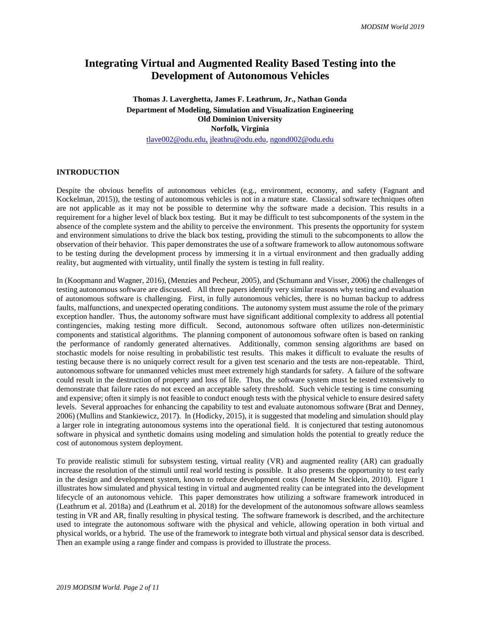# **Integrating Virtual and Augmented Reality Based Testing into the Development of Autonomous Vehicles**

**Thomas J. Laverghetta, James F. Leathrum, Jr., Nathan Gonda Department of Modeling, Simulation and Visualization Engineering Old Dominion University Norfolk, Virginia** [tlave002@odu.edu,](mailto:tlave002@odu.edu) [jleathru@odu.edu,](mailto:jleathru@odu.edu) [ngond002@odu.edu](mailto:ngond002@odu.edu)

**INTRODUCTION**

Despite the obvious benefits of autonomous vehicles (e.g., environment, economy, and safety (Fagnant and Kockelman, 2015)), the testing of autonomous vehicles is not in a mature state. Classical software techniques often are not applicable as it may not be possible to determine why the software made a decision. This results in a requirement for a higher level of black box testing. But it may be difficult to test subcomponents of the system in the absence of the complete system and the ability to perceive the environment. This presents the opportunity for system and environment simulations to drive the black box testing, providing the stimuli to the subcomponents to allow the observation of their behavior. This paper demonstrates the use of a software framework to allow autonomous software to be testing during the development process by immersing it in a virtual environment and then gradually adding reality, but augmented with virtuality, until finally the system is testing in full reality.

In (Koopmann and Wagner, 2016), (Menzies and Pecheur, 2005), and (Schumann and Visser, 2006) the challenges of testing autonomous software are discussed. All three papers identify very similar reasons why testing and evaluation of autonomous software is challenging. First, in fully autonomous vehicles, there is no human backup to address faults, malfunctions, and unexpected operating conditions. The autonomy system must assume the role of the primary exception handler. Thus, the autonomy software must have significant additional complexity to address all potential contingencies, making testing more difficult. Second, autonomous software often utilizes non-deterministic components and statistical algorithms. The planning component of autonomous software often is based on ranking the performance of randomly generated alternatives. Additionally, common sensing algorithms are based on stochastic models for noise resulting in probabilistic test results. This makes it difficult to evaluate the results of testing because there is no uniquely correct result for a given test scenario and the tests are non-repeatable. Third, autonomous software for unmanned vehicles must meet extremely high standards for safety. A failure of the software could result in the destruction of property and loss of life. Thus, the software system must be tested extensively to demonstrate that failure rates do not exceed an acceptable safety threshold. Such vehicle testing is time consuming and expensive; often it simply is not feasible to conduct enough tests with the physical vehicle to ensure desired safety levels. Several approaches for enhancing the capability to test and evaluate autonomous software (Brat and Denney, 2006) (Mullins and Stankiewicz, 2017). In (Hodicky, 2015), it is suggested that modeling and simulation should play a larger role in integrating autonomous systems into the operational field. It is conjectured that testing autonomous software in physical and synthetic domains using modeling and simulation holds the potential to greatly reduce the cost of autonomous system deployment.

To provide realistic stimuli for subsystem testing, virtual reality (VR) and augmented reality (AR) can gradually increase the resolution of the stimuli until real world testing is possible. It also presents the opportunity to test early in the design and development system, known to reduce development costs (Jonette M Stecklein, 2010). Figure 1 illustrates how simulated and physical testing in virtual and augmented reality can be integrated into the development lifecycle of an autonomous vehicle. This paper demonstrates how utilizing a software framework introduced in (Leathrum et al. 2018a) and (Leathrum et al. 2018) for the development of the autonomous software allows seamless testing in VR and AR, finally resulting in physical testing. The software framework is described, and the architecture used to integrate the autonomous software with the physical and vehicle, allowing operation in both virtual and physical worlds, or a hybrid. The use of the framework to integrate both virtual and physical sensor data is described. Then an example using a range finder and compass is provided to illustrate the process.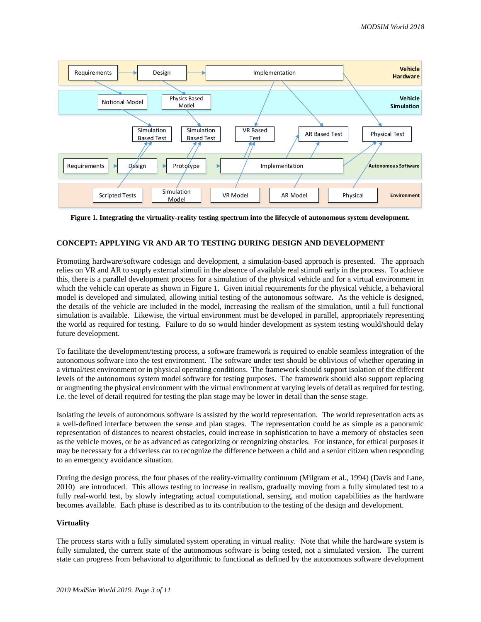

**Figure 1. Integrating the virtuality-reality testing spectrum into the lifecycle of autonomous system development.**

## **CONCEPT: APPLYING VR AND AR TO TESTING DURING DESIGN AND DEVELOPMENT**

Promoting hardware/software codesign and development, a simulation-based approach is presented. The approach relies on VR and AR to supply external stimuli in the absence of available real stimuli early in the process. To achieve this, there is a parallel development process for a simulation of the physical vehicle and for a virtual environment in which the vehicle can operate as shown in Figure 1. Given initial requirements for the physical vehicle, a behavioral model is developed and simulated, allowing initial testing of the autonomous software. As the vehicle is designed, the details of the vehicle are included in the model, increasing the realism of the simulation, until a full functional simulation is available. Likewise, the virtual environment must be developed in parallel, appropriately representing the world as required for testing. Failure to do so would hinder development as system testing would/should delay future development.

To facilitate the development/testing process, a software framework is required to enable seamless integration of the autonomous software into the test environment. The software under test should be oblivious of whether operating in a virtual/test environment or in physical operating conditions. The framework should support isolation of the different levels of the autonomous system model software for testing purposes. The framework should also support replacing or augmenting the physical environment with the virtual environment at varying levels of detail as required for testing, i.e. the level of detail required for testing the plan stage may be lower in detail than the sense stage.

Isolating the levels of autonomous software is assisted by the world representation. The world representation acts as a well-defined interface between the sense and plan stages. The representation could be as simple as a panoramic representation of distances to nearest obstacles, could increase in sophistication to have a memory of obstacles seen as the vehicle moves, or be as advanced as categorizing or recognizing obstacles. For instance, for ethical purposes it may be necessary for a driverless car to recognize the difference between a child and a senior citizen when responding to an emergency avoidance situation.

During the design process, the four phases of the reality-virtuality continuum (Milgram et al., 1994) (Davis and Lane, 2010) are introduced. This allows testing to increase in realism, gradually moving from a fully simulated test to a fully real-world test, by slowly integrating actual computational, sensing, and motion capabilities as the hardware becomes available. Each phase is described as to its contribution to the testing of the design and development.

## **Virtuality**

The process starts with a fully simulated system operating in virtual reality. Note that while the hardware system is fully simulated, the current state of the autonomous software is being tested, not a simulated version. The current state can progress from behavioral to algorithmic to functional as defined by the autonomous software development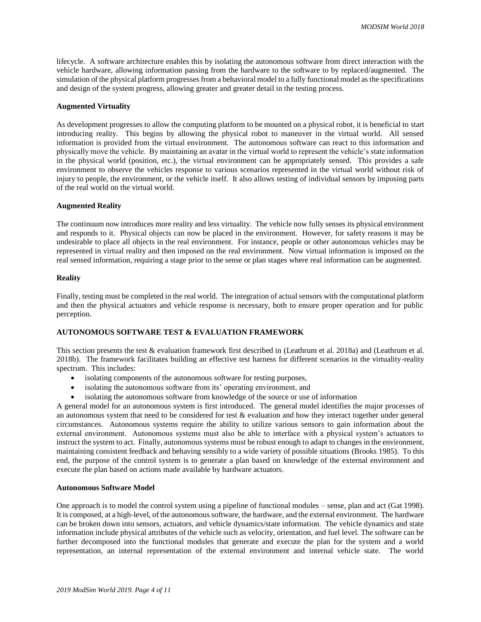lifecycle. A software architecture enables this by isolating the autonomous software from direct interaction with the vehicle hardware, allowing information passing from the hardware to the software to by replaced/augmented. The simulation of the physical platform progresses from a behavioral model to a fully functional model as the specifications and design of the system progress, allowing greater and greater detail in the testing process.

#### **Augmented Virtuality**

As development progresses to allow the computing platform to be mounted on a physical robot, it is beneficial to start introducing reality. This begins by allowing the physical robot to maneuver in the virtual world. All sensed information is provided from the virtual environment. The autonomous software can react to this information and physically move the vehicle. By maintaining an avatar in the virtual world to represent the vehicle's state information in the physical world (position, etc.), the virtual environment can be appropriately sensed. This provides a safe environment to observe the vehicles response to various scenarios represented in the virtual world without risk of injury to people, the environment, or the vehicle itself. It also allows testing of individual sensors by imposing parts of the real world on the virtual world.

#### **Augmented Reality**

The continuum now introduces more reality and less virtuality. The vehicle now fully senses its physical environment and responds to it. Physical objects can now be placed in the environment. However, for safety reasons it may be undesirable to place all objects in the real environment. For instance, people or other autonomous vehicles may be represented in virtual reality and then imposed on the real environment. Now virtual information is imposed on the real sensed information, requiring a stage prior to the sense or plan stages where real information can be augmented.

#### **Reality**

Finally, testing must be completed in the real world. The integration of actual sensors with the computational platform and then the physical actuators and vehicle response is necessary, both to ensure proper operation and for public perception.

# **AUTONOMOUS SOFTWARE TEST & EVALUATION FRAMEWORK**

This section presents the test & evaluation framework first described in (Leathrum et al. 2018a) and (Leathrum et al. 2018b). The framework facilitates building an effective test harness for different scenarios in the virtuality-reality spectrum. This includes:

- isolating components of the autonomous software for testing purposes,
- isolating the autonomous software from its' operating environment, and
- isolating the autonomous software from knowledge of the source or use of information

A general model for an autonomous system is first introduced. The general model identifies the major processes of an autonomous system that need to be considered for test  $&$  evaluation and how they interact together under general circumstances. Autonomous systems require the ability to utilize various sensors to gain information about the external environment. Autonomous systems must also be able to interface with a physical system's actuators to instruct the system to act. Finally, autonomous systems must be robust enough to adapt to changes in the environment, maintaining consistent feedback and behaving sensibly to a wide variety of possible situations (Brooks 1985). To this end, the purpose of the control system is to generate a plan based on knowledge of the external environment and execute the plan based on actions made available by hardware actuators.

#### **Autonomous Software Model**

One approach is to model the control system using a pipeline of functional modules – sense, plan and act (Gat 1998). It is composed, at a high-level, of the autonomous software, the hardware, and the external environment. The hardware can be broken down into sensors, actuators, and vehicle dynamics/state information. The vehicle dynamics and state information include physical attributes of the vehicle such as velocity, orientation, and fuel level. The software can be further decomposed into the functional modules that generate and execute the plan for the system and a world representation, an internal representation of the external environment and internal vehicle state. The world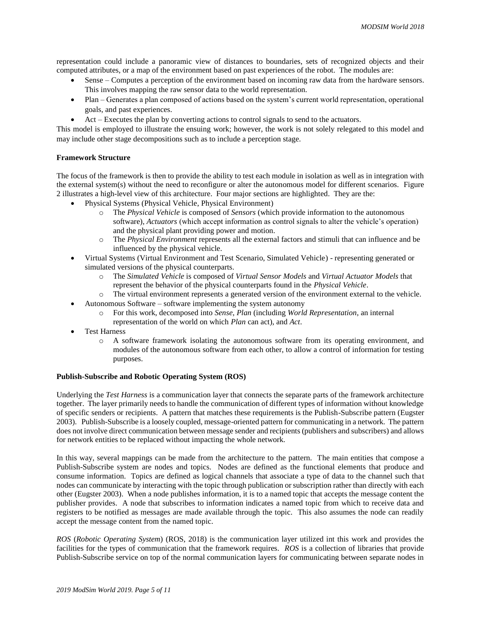representation could include a panoramic view of distances to boundaries, sets of recognized objects and their computed attributes, or a map of the environment based on past experiences of the robot. The modules are:

- Sense Computes a perception of the environment based on incoming raw data from the hardware sensors. This involves mapping the raw sensor data to the world representation.
- Plan Generates a plan composed of actions based on the system's current world representation, operational goals, and past experiences.
- Act Executes the plan by converting actions to control signals to send to the actuators.

This model is employed to illustrate the ensuing work; however, the work is not solely relegated to this model and may include other stage decompositions such as to include a perception stage.

## **Framework Structure**

The focus of the framework is then to provide the ability to test each module in isolation as well as in integration with the external system(s) without the need to reconfigure or alter the autonomous model for different scenarios. Figure 2 illustrates a high-level view of this architecture. Four major sections are highlighted. They are the:

- Physical Systems (Physical Vehicle, Physical Environment)
	- o The *Physical Vehicle* is composed of *Sensors* (which provide information to the autonomous software), *Actuators* (which accept information as control signals to alter the vehicle's operation) and the physical plant providing power and motion.
	- o The *Physical Environment* represents all the external factors and stimuli that can influence and be influenced by the physical vehicle.
- Virtual Systems (Virtual Environment and Test Scenario, Simulated Vehicle) representing generated or simulated versions of the physical counterparts.
	- o The *Simulated Vehicle* is composed of *Virtual Sensor Models* and *Virtual Actuator Models* that represent the behavior of the physical counterparts found in the *Physical Vehicle*.
	- o The virtual environment represents a generated version of the environment external to the vehicle.
- Autonomous Software software implementing the system autonomy
	- o For this work, decomposed into *Sense*, *Plan* (including *World Representation*, an internal representation of the world on which *Plan* can act), and *Act*.
- Test Harness
	- o A software framework isolating the autonomous software from its operating environment, and modules of the autonomous software from each other, to allow a control of information for testing purposes.

## **Publish-Subscribe and Robotic Operating System (ROS)**

Underlying the *Test Harness* is a communication layer that connects the separate parts of the framework architecture together. The layer primarily needs to handle the communication of different types of information without knowledge of specific senders or recipients. A pattern that matches these requirements is the Publish-Subscribe pattern (Eugster 2003). Publish-Subscribe is a loosely coupled, message-oriented pattern for communicating in a network. The pattern does not involve direct communication between message sender and recipients (publishers and subscribers) and allows for network entities to be replaced without impacting the whole network.

In this way, several mappings can be made from the architecture to the pattern. The main entities that compose a Publish-Subscribe system are nodes and topics. Nodes are defined as the functional elements that produce and consume information. Topics are defined as logical channels that associate a type of data to the channel such that nodes can communicate by interacting with the topic through publication or subscription rather than directly with each other (Eugster 2003). When a node publishes information, it is to a named topic that accepts the message content the publisher provides. A node that subscribes to information indicates a named topic from which to receive data and registers to be notified as messages are made available through the topic. This also assumes the node can readily accept the message content from the named topic.

*ROS* (*Robotic Operating System*) (ROS, 2018) is the communication layer utilized int this work and provides the facilities for the types of communication that the framework requires. *ROS* is a collection of libraries that provide Publish-Subscribe service on top of the normal communication layers for communicating between separate nodes in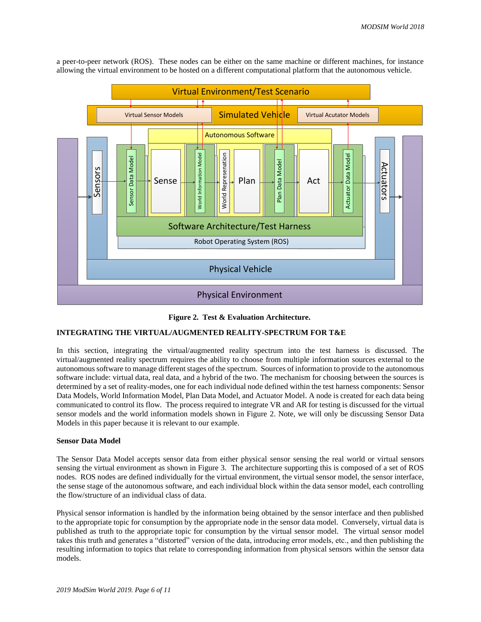

a peer-to-peer network (ROS). These nodes can be either on the same machine or different machines, for instance allowing the virtual environment to be hosted on a different computational platform that the autonomous vehicle.

## **Figure 2. Test & Evaluation Architecture.**

# **INTEGRATING THE VIRTUAL/AUGMENTED REALITY-SPECTRUM FOR T&E**

In this section, integrating the virtual/augmented reality spectrum into the test harness is discussed. The virtual/augmented reality spectrum requires the ability to choose from multiple information sources external to the autonomous software to manage different stages of the spectrum. Sources of information to provide to the autonomous software include: virtual data, real data, and a hybrid of the two. The mechanism for choosing between the sources is determined by a set of reality-modes, one for each individual node defined within the test harness components: Sensor Data Models, World Information Model, Plan Data Model, and Actuator Model. A node is created for each data being communicated to control its flow. The process required to integrate VR and AR for testing is discussed for the virtual sensor models and the world information models shown in Figure 2. Note, we will only be discussing Sensor Data Models in this paper because it is relevant to our example.

#### **Sensor Data Model**

The Sensor Data Model accepts sensor data from either physical sensor sensing the real world or virtual sensors sensing the virtual environment as shown in Figure 3. The architecture supporting this is composed of a set of ROS nodes. ROS nodes are defined individually for the virtual environment, the virtual sensor model, the sensor interface, the sense stage of the autonomous software, and each individual block within the data sensor model, each controlling the flow/structure of an individual class of data.

Physical sensor information is handled by the information being obtained by the sensor interface and then published to the appropriate topic for consumption by the appropriate node in the sensor data model. Conversely, virtual data is published as truth to the appropriate topic for consumption by the virtual sensor model. The virtual sensor model takes this truth and generates a "distorted" version of the data, introducing error models, etc., and then publishing the resulting information to topics that relate to corresponding information from physical sensors within the sensor data models.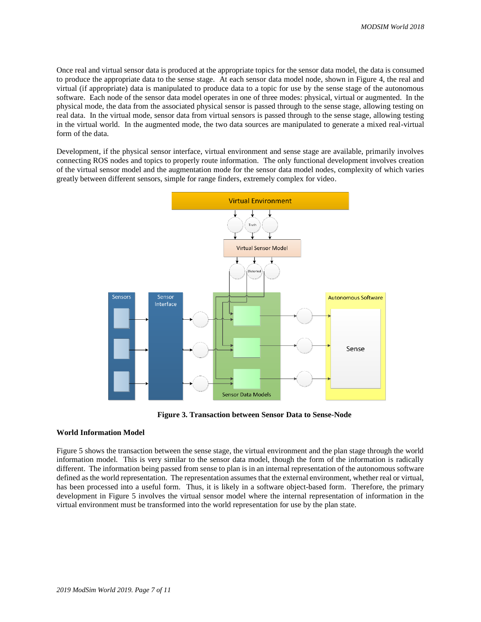Once real and virtual sensor data is produced at the appropriate topics for the sensor data model, the data is consumed to produce the appropriate data to the sense stage. At each sensor data model node, shown in Figure 4, the real and virtual (if appropriate) data is manipulated to produce data to a topic for use by the sense stage of the autonomous software. Each node of the sensor data model operates in one of three modes: physical, virtual or augmented. In the physical mode, the data from the associated physical sensor is passed through to the sense stage, allowing testing on real data. In the virtual mode, sensor data from virtual sensors is passed through to the sense stage, allowing testing in the virtual world. In the augmented mode, the two data sources are manipulated to generate a mixed real-virtual form of the data.

Development, if the physical sensor interface, virtual environment and sense stage are available, primarily involves connecting ROS nodes and topics to properly route information. The only functional development involves creation of the virtual sensor model and the augmentation mode for the sensor data model nodes, complexity of which varies greatly between different sensors, simple for range finders, extremely complex for video.



**Figure 3. Transaction between Sensor Data to Sense-Node**

# **World Information Model**

Figure 5 shows the transaction between the sense stage, the virtual environment and the plan stage through the world information model. This is very similar to the sensor data model, though the form of the information is radically different. The information being passed from sense to plan is in an internal representation of the autonomous software defined as the world representation. The representation assumes that the external environment, whether real or virtual, has been processed into a useful form. Thus, it is likely in a software object-based form. Therefore, the primary development in Figure 5 involves the virtual sensor model where the internal representation of information in the virtual environment must be transformed into the world representation for use by the plan state.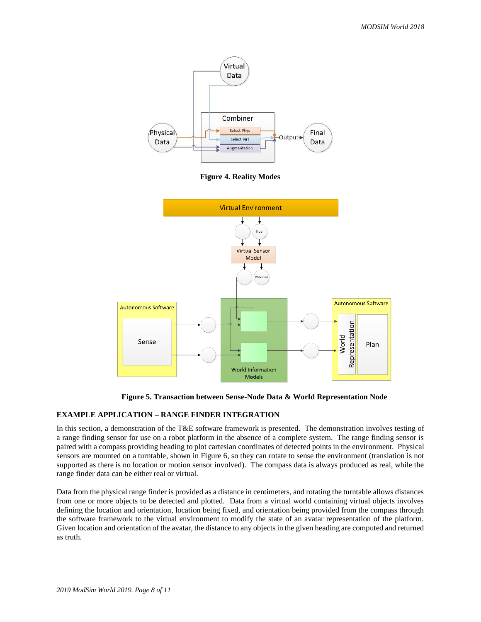

**Figure 4. Reality Modes**



**Figure 5. Transaction between Sense-Node Data & World Representation Node**

# **EXAMPLE APPLICATION – RANGE FINDER INTEGRATION**

In this section, a demonstration of the T&E software framework is presented. The demonstration involves testing of a range finding sensor for use on a robot platform in the absence of a complete system. The range finding sensor is paired with a compass providing heading to plot cartesian coordinates of detected points in the environment. Physical sensors are mounted on a turntable, shown in Figure 6, so they can rotate to sense the environment (translation is not supported as there is no location or motion sensor involved). The compass data is always produced as real, while the range finder data can be either real or virtual.

Data from the physical range finder is provided as a distance in centimeters, and rotating the turntable allows distances from one or more objects to be detected and plotted. Data from a virtual world containing virtual objects involves defining the location and orientation, location being fixed, and orientation being provided from the compass through the software framework to the virtual environment to modify the state of an avatar representation of the platform. Given location and orientation of the avatar, the distance to any objects in the given heading are computed and returned as truth.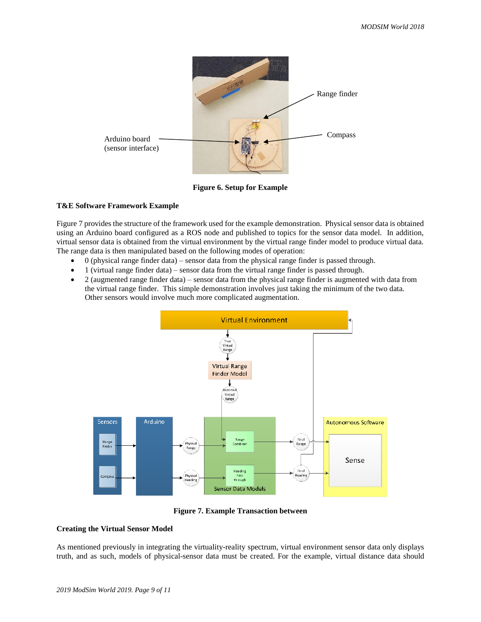

**Figure 6. Setup for Example**

#### **T&E Software Framework Example**

Figure 7 provides the structure of the framework used for the example demonstration. Physical sensor data is obtained using an Arduino board configured as a ROS node and published to topics for the sensor data model. In addition, virtual sensor data is obtained from the virtual environment by the virtual range finder model to produce virtual data. The range data is then manipulated based on the following modes of operation:

- 0 (physical range finder data) sensor data from the physical range finder is passed through.
- 1 (virtual range finder data) sensor data from the virtual range finder is passed through.
- 2 (augmented range finder data) sensor data from the physical range finder is augmented with data from the virtual range finder. This simple demonstration involves just taking the minimum of the two data. Other sensors would involve much more complicated augmentation.



**Figure 7. Example Transaction between** 

## **Creating the Virtual Sensor Model**

As mentioned previously in integrating the virtuality-reality spectrum, virtual environment sensor data only displays truth, and as such, models of physical-sensor data must be created. For the example, virtual distance data should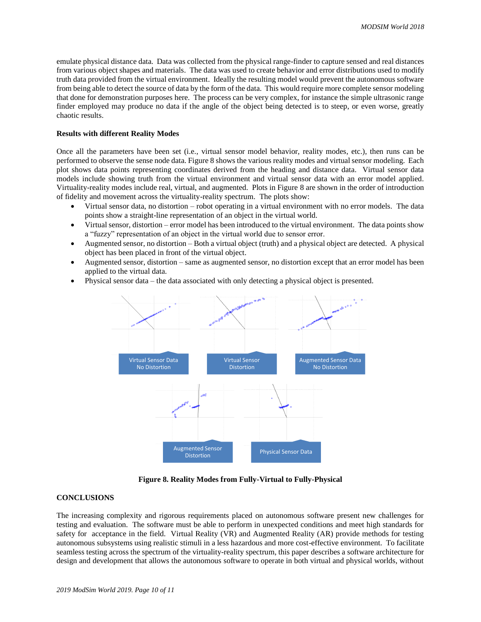emulate physical distance data. Data was collected from the physical range-finder to capture sensed and real distances from various object shapes and materials. The data was used to create behavior and error distributions used to modify truth data provided from the virtual environment. Ideally the resulting model would prevent the autonomous software from being able to detect the source of data by the form of the data. This would require more complete sensor modeling that done for demonstration purposes here. The process can be very complex, for instance the simple ultrasonic range finder employed may produce no data if the angle of the object being detected is to steep, or even worse, greatly chaotic results.

# **Results with different Reality Modes**

Once all the parameters have been set (i.e., virtual sensor model behavior, reality modes, etc.), then runs can be performed to observe the sense node data. Figure 8 shows the various reality modes and virtual sensor modeling. Each plot shows data points representing coordinates derived from the heading and distance data. Virtual sensor data models include showing truth from the virtual environment and virtual sensor data with an error model applied. Virtuality-reality modes include real, virtual, and augmented. Plots in Figure 8 are shown in the order of introduction of fidelity and movement across the virtuality-reality spectrum. The plots show:

- Virtual sensor data, no distortion robot operating in a virtual environment with no error models. The data points show a straight-line representation of an object in the virtual world.
- Virtual sensor, distortion error model has been introduced to the virtual environment. The data points show a "fuzzy" representation of an object in the virtual world due to sensor error.
- Augmented sensor, no distortion Both a virtual object (truth) and a physical object are detected. A physical object has been placed in front of the virtual object.
- Augmented sensor, distortion same as augmented sensor, no distortion except that an error model has been applied to the virtual data.
- Physical sensor data the data associated with only detecting a physical object is presented.



**Figure 8. Reality Modes from Fully-Virtual to Fully-Physical**

# **CONCLUSIONS**

The increasing complexity and rigorous requirements placed on autonomous software present new challenges for testing and evaluation. The software must be able to perform in unexpected conditions and meet high standards for safety for acceptance in the field. Virtual Reality (VR) and Augmented Reality (AR) provide methods for testing autonomous subsystems using realistic stimuli in a less hazardous and more cost-effective environment. To facilitate seamless testing across the spectrum of the virtuality-reality spectrum, this paper describes a software architecture for design and development that allows the autonomous software to operate in both virtual and physical worlds, without